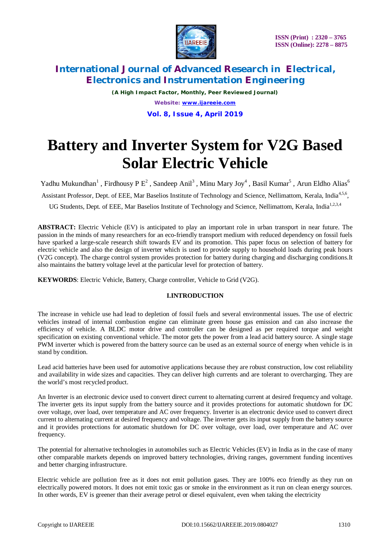

*(A High Impact Factor, Monthly, Peer Reviewed Journal) Website: [www.ijareeie.com](http://www.ijareeie.com)* **Vol. 8, Issue 4, April 2019**

# **Battery and Inverter System for V2G Based Solar Electric Vehicle**

Yadhu Mukundhan<sup>1</sup>, Firdhousy P E<sup>2</sup>, Sandeep Anil<sup>3</sup>, Minu Mary Joy<sup>4</sup>, Basil Kumar<sup>5</sup>, Arun Eldho Alias<sup>6</sup>

Assistant Professor, Dept. of EEE, Mar Baselios Institute of Technology and Science, Nellimattom, Kerala, India<sup>4,5,6</sup>,

UG Students, Dept. of EEE, Mar Baselios Institute of Technology and Science, Nellimattom, Kerala, India<sup>1,2,3,4</sup>

**ABSTRACT:** Electric Vehicle (EV) is anticipated to play an important role in urban transport in near future. The passion in the minds of many researchers for an eco-friendly transport medium with reduced dependency on fossil fuels have sparked a large-scale research shift towards EV and its promotion. This paper focus on selection of battery for electric vehicle and also the design of inverter which is used to provide supply to household loads during peak hours (V2G concept). The charge control system provides protection for battery during charging and discharging conditions.It also maintains the battery voltage level at the particular level for protection of battery.

**KEYWORDS**: Electric Vehicle, Battery, Charge controller, Vehicle to Grid (V2G).

# **I.INTRODUCTION**

The increase in vehicle use had lead to depletion of fossil fuels and several environmental issues. The use of electric vehicles instead of internal combustion engine can eliminate green house gas emission and can also increase the efficiency of vehicle. A BLDC motor drive and controller can be designed as per required torque and weight specification on existing conventional vehicle. The motor gets the power from a lead acid battery source. A single stage PWM inverter which is powered from the battery source can be used as an external source of energy when vehicle is in stand by condition.

Lead acid batteries have been used for automotive applications because they are robust construction, low cost reliability and availability in wide sizes and capacities. They can deliver high currents and are tolerant to overcharging. They are the world's most recycled product.

An Inverter is an electronic device used to convert direct current to alternating current at desired frequency and voltage. The inverter gets its input supply from the battery source and it provides protections for automatic shutdown for DC over voltage, over load, over temperature and AC over frequency. Inverter is an electronic device used to convert direct current to alternating current at desired frequency and voltage. The inverter gets its input supply from the battery source and it provides protections for automatic shutdown for DC over voltage, over load, over temperature and AC over frequency.

The potential for alternative technologies in automobiles such as Electric Vehicles (EV) in India as in the case of many other comparable markets depends on improved battery technologies, driving ranges, government funding incentives and better charging infrastructure.

Electric vehicle are pollution free as it does not emit pollution gases. They are 100% eco friendly as they run on electrically powered motors. It does not emit toxic gas or smoke in the environment as it run on clean energy sources. In other words, EV is greener than their average petrol or diesel equivalent, even when taking the electricity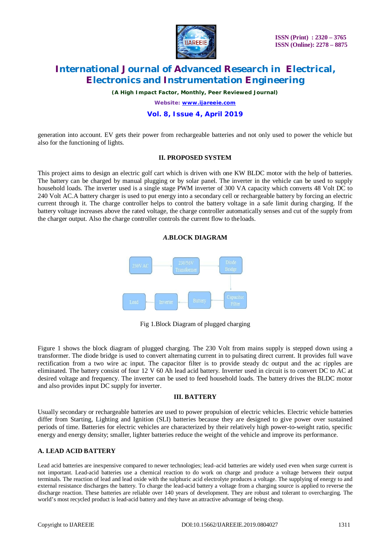

*(A High Impact Factor, Monthly, Peer Reviewed Journal)*

*Website: [www.ijareeie.com](http://www.ijareeie.com)*

### **Vol. 8, Issue 4, April 2019**

generation into account. EV gets their power from rechargeable batteries and not only used to power the vehicle but also for the functioning of lights.

#### **II. PROPOSED SYSTEM**

This project aims to design an electric golf cart which is driven with one KW BLDC motor with the help of batteries. The battery can be charged by manual plugging or by solar panel. The inverter in the vehicle can be used to supply household loads. The inverter used is a single stage PWM inverter of 300 VA capacity which converts 48 Volt DC to 240 Volt AC.A battery charger is used to put energy into a secondary cell or rechargeable battery by forcing an electric current through it. The charge controller helps to control the battery voltage in a safe limit during charging. If the battery voltage increases above the rated voltage, the charge controller automatically senses and cut of the supply from the charger output. Also the charge controller controls the current flow to theloads.





Fig 1.Block Diagram of plugged charging

Figure 1 shows the block diagram of plugged charging. The 230 Volt from mains supply is stepped down using a transformer. The diode bridge is used to convert alternating current in to pulsating direct current. It provides full wave rectification from a two wire ac input. The capacitor filter is to provide steady dc output and the ac ripples are eliminated. The battery consist of four 12 V 60 Ah lead acid battery. Inverter used in circuit is to convert DC to AC at desired voltage and frequency. The inverter can be used to feed household loads. The battery drives the BLDC motor and also provides input DC supply for inverter.

#### **III. BATTERY**

Usually secondary or rechargeable batteries are used to power propulsion of electric vehicles. Electric vehicle batteries differ from Starting, Lighting and Ignition (SLI) batteries because they are designed to give power over sustained periods of time. Batteries for electric vehicles are characterized by their relatively high power-to-weight ratio, specific energy and energy density; smaller, lighter batteries reduce the weight of the vehicle and improve its performance.

# **A. LEAD ACID BATTERY**

Lead acid batteries are inexpensive compared to newer technologies; lead–acid batteries are widely used even when surge current is not important. Lead-acid batteries use a chemical reaction to do work on charge and produce a voltage between their output terminals. The reaction of lead and lead oxide with the sulphuric acid electrolyte produces a voltage. The supplying of energy to and external resistance discharges the battery. To charge the lead-acid battery a voltage from a charging source is applied to reverse the discharge reaction. These batteries are reliable over 140 years of development. They are robust and tolerant to overcharging. The world's most recycled product is lead-acid battery and they have an attractive advantage of being cheap.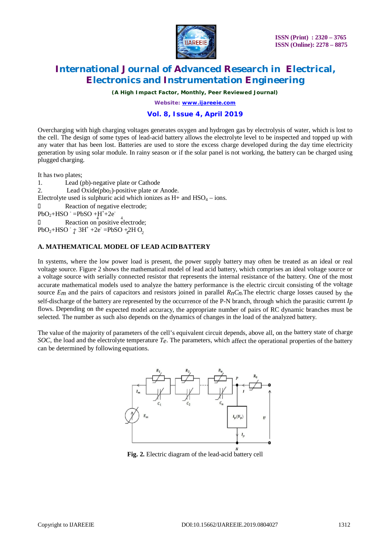

*(A High Impact Factor, Monthly, Peer Reviewed Journal)*

*Website: [www.ijareeie.com](http://www.ijareeie.com)*

## **Vol. 8, Issue 4, April 2019**

Overcharging with high charging voltages generates oxygen and hydrogen gas by electrolysis of water, which is lost to the cell. The design of some types of lead-acid battery allows the electrolyte level to be inspected and topped up with any water that has been lost. Batteries are used to store the excess charge developed during the day time electricity generation by using solar module. In rainy season or if the solar panel is not working, the battery can be charged using plugged charging.

It has two plates;

 $PbO_2 + HSO^{-}$   $\neq 3H^{+}$  +2e<sup>-</sup> =PbSO +<sub>4</sub>2H O<sub>2</sub>  $PbO_2 + HSO^- = PbSO^- + H^+ + 2e^-$ 1. Lead (pb)-negative plate or Cathode 2. Lead Oxide( $pbo<sub>2</sub>$ )-positive plate or Anode. Electrolyte used is sulphuric acid which ionizes as  $H<sup>+</sup>$  and  $HSO<sub>4</sub> - ions$ . D Reaction of negative electrode; D Reaction on positive electrode;

## **A. MATHEMATICAL MODEL OF LEAD ACIDBATTERY**

In systems, where the low power load is present, the power supply battery may often be treated as an ideal or real voltage source. Figure 2 shows the mathematical model of lead acid battery, which comprises an ideal voltage source or a voltage source with serially connected resistor that represents the internal resistance of the battery. One of the most accurate mathematical models used to analyze the battery performance is the electric circuit consisting of the voltage source  $E_m$  and the pairs of capacitors and resistors joined in parallel  $R_nC_n$ . The electric charge losses caused by the self-discharge of the battery are represented by the occurrence of the P-N branch, through which the parasitic current *Ip*  flows. Depending on the expected model accuracy, the appropriate number of pairs of RC dynamic branches must be selected. The number as such also depends on the dynamics of changes in the load of the analyzed battery.

The value of the majority of parameters of the cell's equivalent circuit depends, above all, on the battery state of charge *SOC*, the load and the electrolyte temperature *Te*. The parameters, which affect the operational properties of the battery can be determined by following equations.



**Fig. 2.** Electric diagram of the lead-acid battery cell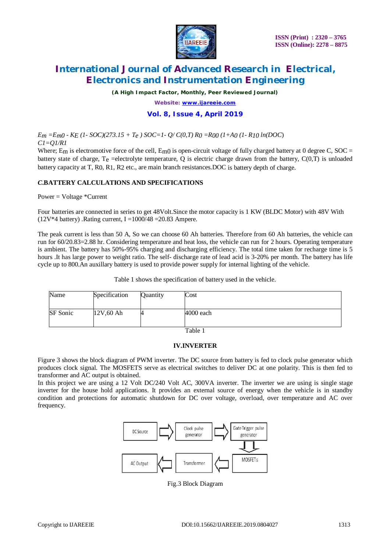

*(A High Impact Factor, Monthly, Peer Reviewed Journal)*

*Website: [www.ijareeie.com](http://www.ijareeie.com)*

# **Vol. 8, Issue 4, April 2019**

*Em =Em0 - KE (1- SOC)(273.15 + Te ) SOC=1- Q/ C(0,T) R0 =R00 (1+A0 (1- R10 ln(DOC*) *C1=Q1/R1*

Where;  $E_m$  is electromotive force of the cell,  $E_m$ 0 is open-circuit voltage of fully charged battery at 0 degree C, SOC = battery state of charge,  $T_e$  =electrolyte temperature, Q is electric charge drawn from the battery,  $C(0,T)$  is unloaded battery capacity at T, R0, R1, R2 etc., are main branch resistances.DOC is battery depth of charge.

# *C***.BATTERY CALCULATIONS AND SPECIFICATIONS**

Power = Voltage \*Current

Four batteries are connected in series to get 48Volt.Since the motor capacity is 1 KW (BLDC Motor) with 48V With  $(12V^*4 \text{ battery})$ . Rating current, I =1000/48 =20.83 Ampere.

The peak current is less than 50 A, So we can choose 60 Ah batteries. Therefore from 60 Ah batteries, the vehicle can run for 60/20.83=2.88 hr. Considering temperature and heat loss, the vehicle can run for 2 hours. Operating temperature is ambient. The battery has 50%-95% charging and discharging efficiency. The total time taken for recharge time is 5 hours .It has large power to weight ratio. The self- discharge rate of lead acid is 3-20% per month. The battery has life cycle up to 800.An auxillary battery is used to provide power supply for internal lighting of the vehicle.

#### Table 1 shows the specification of battery used in the vehicle.

| Name     | Specification | Quantity | Cost        |  |
|----------|---------------|----------|-------------|--|
| SF Sonic | $12V,60$ Ah   |          | $4000$ each |  |

Table 1

### **IV.INVERTER**

Figure 3 shows the block diagram of PWM inverter. The DC source from battery is fed to clock pulse generator which produces clock signal. The MOSFETS serve as electrical switches to deliver DC at one polarity. This is then fed to transformer and AC output is obtained.

In this project we are using a 12 Volt DC/240 Volt AC, 300VA inverter. The inverter we are using is single stage inverter for the house hold applications. It provides an external source of energy when the vehicle is in standby condition and protections for automatic shutdown for DC over voltage, overload, over temperature and AC over frequency.



Fig.3 Block Diagram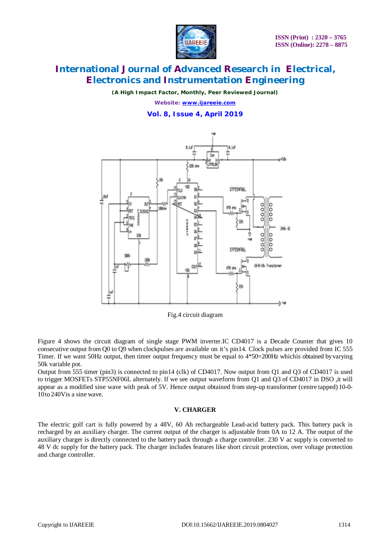

*(A High Impact Factor, Monthly, Peer Reviewed Journal)*

*Website: [www.ijareeie.com](http://www.ijareeie.com)* **Vol. 8, Issue 4, April 2019**



Fig.4 circuit diagram

Figure 4 shows the circuit diagram of single stage PWM inverter.IC CD4017 is a Decade Counter that gives 10 consecutive output from Q0 to Q9 when clockpulses are available on it's pin14. Clock pulses are provided from IC 555 Timer. If we want 50Hz output, then timer output frequency must be equal to  $4*50=200$ Hz whichis obtained by varying 50k variable pot.

Output from 555 timer (pin3) is connected to pin14 (clk) of CD4017. Now output from Q1 and Q3 of CD4017 is used to trigger MOSFETs STP55NF06L alternately. If we see output waveform from Q1 and Q3 of CD4017 in DSO ,it will appear as a modified sine wave with peak of 5V. Hence output obtained from step-up transformer (centre tapped) 10-0- 10to240Vis a sine wave.

### **V. CHARGER**

The electric golf cart is fully powered by a 48V, 60 Ah rechargeable Lead-acid battery pack. This battery pack is recharged by an auxiliary charger. The current output of the charger is adjustable from 0A to 12 A. The output of the auxiliary charger is directly connected to the battery pack through a charge controller. 230 V ac supply is converted to 48 V dc supply for the battery pack. The charger includes features like short circuit protection, over voltage protection and charge controller.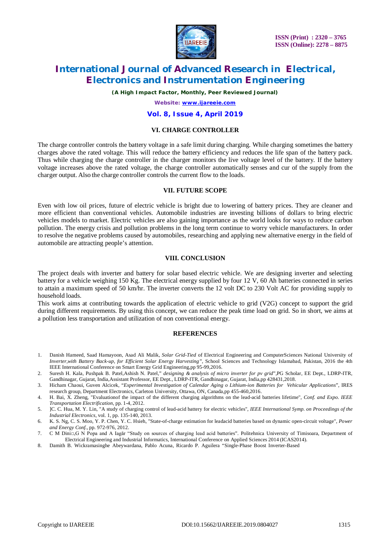

*(A High Impact Factor, Monthly, Peer Reviewed Journal)*

#### *Website: [www.ijareeie.com](http://www.ijareeie.com)*

#### **Vol. 8, Issue 4, April 2019**

#### **VI. CHARGE CONTROLLER**

The charge controller controls the battery voltage in a safe limit during charging. While charging sometimes the battery charges above the rated voltage. This will reduce the battery efficiency and reduces the life span of the battery pack. Thus while charging the charge controller in the charger monitors the live voltage level of the battery. If the battery voltage increases above the rated voltage, the charge controller automatically senses and cur of the supply from the charger output. Also the charge controller controls the current flow to the loads.

## **VII. FUTURE SCOPE**

Even with low oil prices, future of electric vehicle is bright due to lowering of battery prices. They are cleaner and more efficient than conventional vehicles. Automobile industries are investing billions of dollars to bring electric vehicles models to market. Electric vehicles are also gaining importance as the world looks for ways to reduce carbon pollution. The energy crisis and pollution problems in the long term continue to worry vehicle manufacturers. In order to resolve the negative problems caused by automobiles, researching and applying new alternative energy in the field of automobile are attracting people's attention.

#### **VIII. CONCLUSION**

The project deals with inverter and battery for solar based electric vehicle. We are designing inverter and selecting battery for a vehicle weighing 150 Kg. The electrical energy supplied by four 12 V, 60 Ah batteries connected in series to attain a maximum speed of 50 km/hr. The inverter converts the 12 volt DC to 230 Volt AC for providing supply to household loads.

This work aims at contributing towards the application of electric vehicle to grid (V2G) concept to support the grid during different requirements. By using this concept, we can reduce the peak time load on grid. So in short, we aims at a pollution less transportation and utilization of non conventional energy.

### **REFERENCES**

- 1. Danish Hameed, Saad Hamayoon, Asad Ali Malik, *Solar Grid-Tied* of Electrical Engineering and ComputerSciences National University of *Inverter,with Battery Back-up, for Efficient Solar Energy Harvesting",* School Sciences and Technology Islamabad, Pakistan, 2016 the 4th IEEE International Conference on Smart Energy Grid Engineering,pp 95-99,2016.
- 2. Suresh H. Kala, Pushpak B. Patel,Ashish N. Patel," *designing & analysis of micro inverter for pv grid*",PG Scholar, EE Dept., LDRP-ITR, Gandhinagar, Gujarat, India,Assistant Professor, EE Dept., LDRP-ITR, Gandhinagar, Gujarat, India,pp 428431,2018.
- 3. Hicham Chaoui, Guven Alcicek, "*Experimental Investigation of Calendar Aging o Lithium-ion Batteries for Vehicular Applications*", IRES research group, Department Electronics, Carleton University, Ottawa, ON, Canada,pp 455-460,2016.
- 4. H. Bai, X. Zheng, "Evaluationof the impact of the different charging algorithms on the lead-acid batteries lifetime", *Conf. and Expo. IEEE Transportation Electrification*, pp. 1-4, 2012.
- 5. ]C. C. Hua, M. Y. Lin, "A study of charging control of lead-acid battery for electric vehicles", *IEEE International Symp. on Proceedings of the Industrial Electronics*, vol. 1, pp. 135-140, 2013.
- 6. K. S. Ng, C. S. Moo, Y. P. Chen, Y. C. Hsieh, "State-of-charge estimation for leadacid batteries based on dynamic open-circuit voltage", *Power and Energy Conf.*, pp. 972-976, 2012.
- 7. C M Dini□,G N Popa and A Iagăr "Study on sources of charging lead acid batteries". Politehnica University of Timisoara, Department of Electrical Engineering and Industrial Informatics, International Conference on Applied Sciences 2014 (ICAS2014).
- 8. Damith B. Wickramasinghe Abeywardana, Pablo Acuna, Ricardo P. Aguilera "Single-Phase Boost Inverter-Based